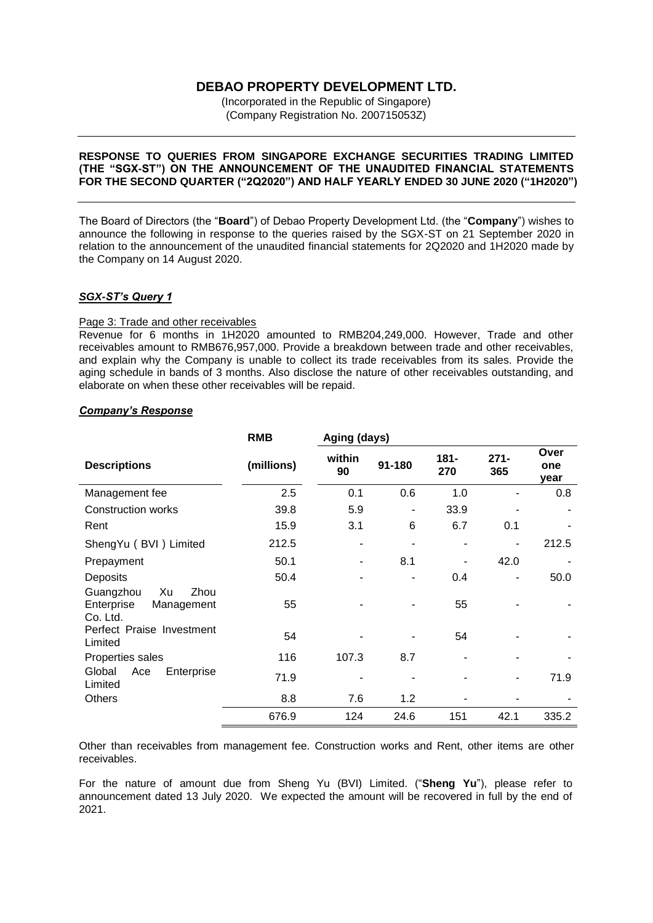# **DEBAO PROPERTY DEVELOPMENT LTD.**

(Incorporated in the Republic of Singapore) (Company Registration No. 200715053Z)

## **RESPONSE TO QUERIES FROM SINGAPORE EXCHANGE SECURITIES TRADING LIMITED (THE "SGX-ST") ON THE ANNOUNCEMENT OF THE UNAUDITED FINANCIAL STATEMENTS FOR THE SECOND QUARTER ("2Q2020") AND HALF YEARLY ENDED 30 JUNE 2020 ("1H2020")**

The Board of Directors (the "**Board**") of Debao Property Development Ltd. (the "**Company**") wishes to announce the following in response to the queries raised by the SGX-ST on 21 September 2020 in relation to the announcement of the unaudited financial statements for 2Q2020 and 1H2020 made by the Company on 14 August 2020.

## *SGX-ST's Query 1*

## Page 3: Trade and other receivables

Revenue for 6 months in 1H2020 amounted to RMB204,249,000. However, Trade and other receivables amount to RMB676,957,000. Provide a breakdown between trade and other receivables, and explain why the Company is unable to collect its trade receivables from its sales. Provide the aging schedule in bands of 3 months. Also disclose the nature of other receivables outstanding, and elaborate on when these other receivables will be repaid.

## *Company's Response*

|                                                                 | <b>RMB</b> | Aging (days) |        |                |                |                     |
|-----------------------------------------------------------------|------------|--------------|--------|----------------|----------------|---------------------|
| <b>Descriptions</b>                                             | (millions) | within<br>90 | 91-180 | $181 -$<br>270 | $271 -$<br>365 | Over<br>one<br>year |
| Management fee                                                  | 2.5        | 0.1          | 0.6    | 1.0            |                | 0.8                 |
| <b>Construction works</b>                                       | 39.8       | 5.9          | ٠      | 33.9           |                |                     |
| Rent                                                            | 15.9       | 3.1          | 6      | 6.7            | 0.1            |                     |
| ShengYu (BVI) Limited                                           | 212.5      | ۰.           |        |                |                | 212.5               |
| Prepayment                                                      | 50.1       | ۰            | 8.1    |                | 42.0           |                     |
| Deposits                                                        | 50.4       |              |        | 0.4            |                | 50.0                |
| Guangzhou<br>Xu<br>Zhou<br>Enterprise<br>Management<br>Co. Ltd. | 55         |              |        | 55             |                |                     |
| Perfect Praise Investment<br>Limited                            | 54         |              |        | 54             |                |                     |
| Properties sales                                                | 116        | 107.3        | 8.7    |                |                |                     |
| Global<br>Ace<br>Enterprise<br>Limited                          | 71.9       |              |        |                |                | 71.9                |
| Others                                                          | 8.8        | 7.6          | 1.2    |                |                |                     |
|                                                                 | 676.9      | 124          | 24.6   | 151            | 42.1           | 335.2               |

Other than receivables from management fee. Construction works and Rent, other items are other receivables.

For the nature of amount due from Sheng Yu (BVI) Limited. ("**Sheng Yu**"), please refer to announcement dated 13 July 2020. We expected the amount will be recovered in full by the end of 2021.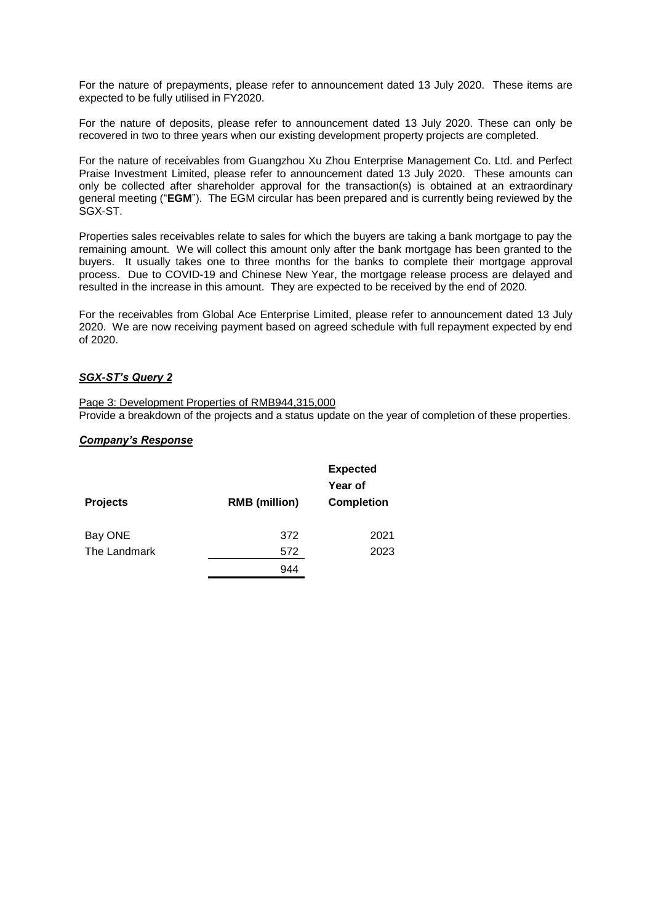For the nature of prepayments, please refer to announcement dated 13 July 2020. These items are expected to be fully utilised in FY2020.

For the nature of deposits, please refer to announcement dated 13 July 2020. These can only be recovered in two to three years when our existing development property projects are completed.

For the nature of receivables from Guangzhou Xu Zhou Enterprise Management Co. Ltd. and Perfect Praise Investment Limited, please refer to announcement dated 13 July 2020. These amounts can only be collected after shareholder approval for the transaction(s) is obtained at an extraordinary general meeting ("**EGM**"). The EGM circular has been prepared and is currently being reviewed by the SGX-ST.

Properties sales receivables relate to sales for which the buyers are taking a bank mortgage to pay the remaining amount. We will collect this amount only after the bank mortgage has been granted to the buyers. It usually takes one to three months for the banks to complete their mortgage approval process. Due to COVID-19 and Chinese New Year, the mortgage release process are delayed and resulted in the increase in this amount. They are expected to be received by the end of 2020.

For the receivables from Global Ace Enterprise Limited, please refer to announcement dated 13 July 2020. We are now receiving payment based on agreed schedule with full repayment expected by end of 2020.

## *SGX-ST's Query 2*

Page 3: Development Properties of RMB944,315,000 Provide a breakdown of the projects and a status update on the year of completion of these properties.

## *Company's Response*

|                 |                      | <b>Expected</b><br>Year of |  |
|-----------------|----------------------|----------------------------|--|
| <b>Projects</b> | <b>RMB</b> (million) | <b>Completion</b>          |  |
| Bay ONE         | 372                  | 2021                       |  |
| The Landmark    | 572                  | 2023                       |  |
|                 | 944                  |                            |  |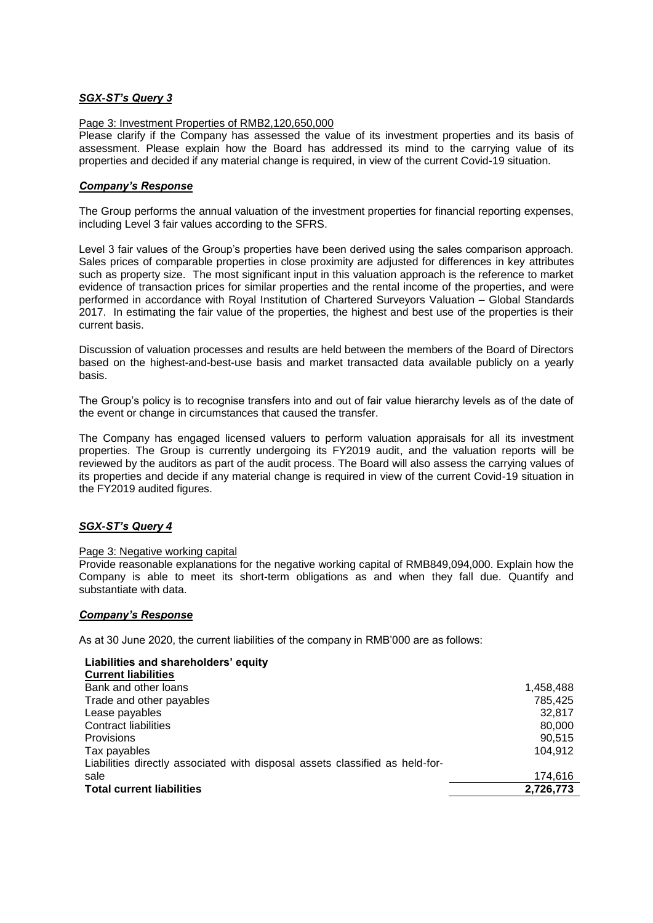## *SGX-ST's Query 3*

## Page 3: Investment Properties of RMB2,120,650,000

Please clarify if the Company has assessed the value of its investment properties and its basis of assessment. Please explain how the Board has addressed its mind to the carrying value of its properties and decided if any material change is required, in view of the current Covid-19 situation.

## *Company's Response*

The Group performs the annual valuation of the investment properties for financial reporting expenses, including Level 3 fair values according to the SFRS.

Level 3 fair values of the Group's properties have been derived using the sales comparison approach. Sales prices of comparable properties in close proximity are adjusted for differences in key attributes such as property size. The most significant input in this valuation approach is the reference to market evidence of transaction prices for similar properties and the rental income of the properties, and were performed in accordance with Royal Institution of Chartered Surveyors Valuation – Global Standards 2017. In estimating the fair value of the properties, the highest and best use of the properties is their current basis.

Discussion of valuation processes and results are held between the members of the Board of Directors based on the highest-and-best-use basis and market transacted data available publicly on a yearly basis.

The Group's policy is to recognise transfers into and out of fair value hierarchy levels as of the date of the event or change in circumstances that caused the transfer.

The Company has engaged licensed valuers to perform valuation appraisals for all its investment properties. The Group is currently undergoing its FY2019 audit, and the valuation reports will be reviewed by the auditors as part of the audit process. The Board will also assess the carrying values of its properties and decide if any material change is required in view of the current Covid-19 situation in the FY2019 audited figures.

## *SGX-ST's Query 4*

## Page 3: Negative working capital

Provide reasonable explanations for the negative working capital of RMB849,094,000. Explain how the Company is able to meet its short-term obligations as and when they fall due. Quantify and substantiate with data.

## *Company's Response*

As at 30 June 2020, the current liabilities of the company in RMB'000 are as follows:

| Liabilities and shareholders' equity                                         |           |
|------------------------------------------------------------------------------|-----------|
| <b>Current liabilities</b>                                                   |           |
| Bank and other loans                                                         | 1,458,488 |
| Trade and other payables                                                     | 785.425   |
| Lease payables                                                               | 32.817    |
| Contract liabilities                                                         | 80,000    |
| Provisions                                                                   | 90.515    |
| Tax payables                                                                 | 104.912   |
| Liabilities directly associated with disposal assets classified as held-for- |           |
| sale                                                                         | 174,616   |
| <b>Total current liabilities</b>                                             | 2,726,773 |
|                                                                              |           |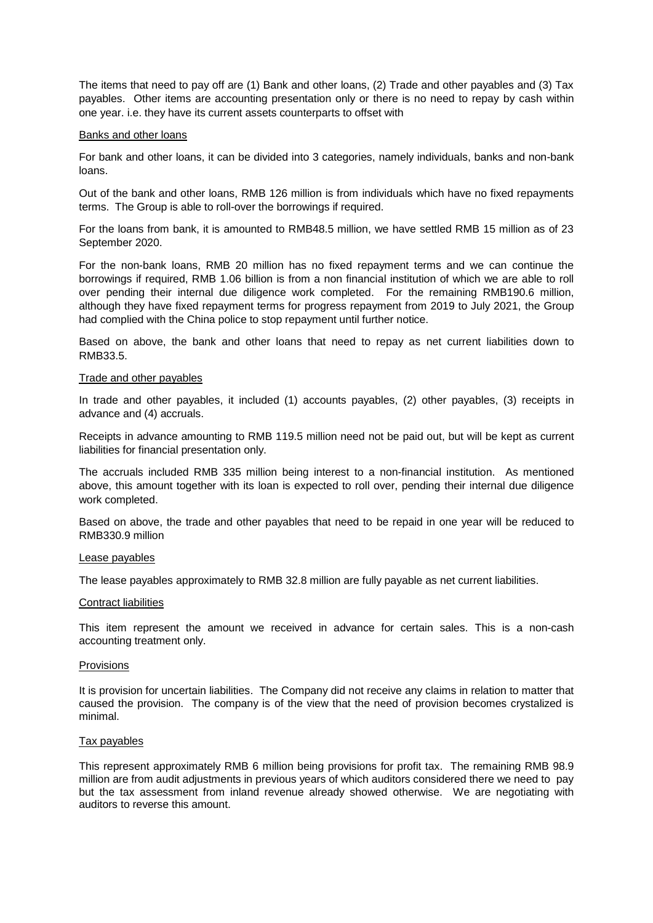The items that need to pay off are (1) Bank and other loans, (2) Trade and other payables and (3) Tax payables. Other items are accounting presentation only or there is no need to repay by cash within one year. i.e. they have its current assets counterparts to offset with

#### Banks and other loans

For bank and other loans, it can be divided into 3 categories, namely individuals, banks and non-bank loans.

Out of the bank and other loans, RMB 126 million is from individuals which have no fixed repayments terms. The Group is able to roll-over the borrowings if required.

For the loans from bank, it is amounted to RMB48.5 million, we have settled RMB 15 million as of 23 September 2020.

For the non-bank loans, RMB 20 million has no fixed repayment terms and we can continue the borrowings if required, RMB 1.06 billion is from a non financial institution of which we are able to roll over pending their internal due diligence work completed. For the remaining RMB190.6 million, although they have fixed repayment terms for progress repayment from 2019 to July 2021, the Group had complied with the China police to stop repayment until further notice.

Based on above, the bank and other loans that need to repay as net current liabilities down to RMB33.5.

#### Trade and other payables

In trade and other payables, it included (1) accounts payables, (2) other payables, (3) receipts in advance and (4) accruals.

Receipts in advance amounting to RMB 119.5 million need not be paid out, but will be kept as current liabilities for financial presentation only.

The accruals included RMB 335 million being interest to a non-financial institution. As mentioned above, this amount together with its loan is expected to roll over, pending their internal due diligence work completed.

Based on above, the trade and other payables that need to be repaid in one year will be reduced to RMB330.9 million

#### Lease payables

The lease payables approximately to RMB 32.8 million are fully payable as net current liabilities.

#### Contract liabilities

This item represent the amount we received in advance for certain sales. This is a non-cash accounting treatment only.

#### Provisions

It is provision for uncertain liabilities. The Company did not receive any claims in relation to matter that caused the provision. The company is of the view that the need of provision becomes crystalized is minimal.

#### Tax payables

This represent approximately RMB 6 million being provisions for profit tax. The remaining RMB 98.9 million are from audit adjustments in previous years of which auditors considered there we need to pay but the tax assessment from inland revenue already showed otherwise. We are negotiating with auditors to reverse this amount.